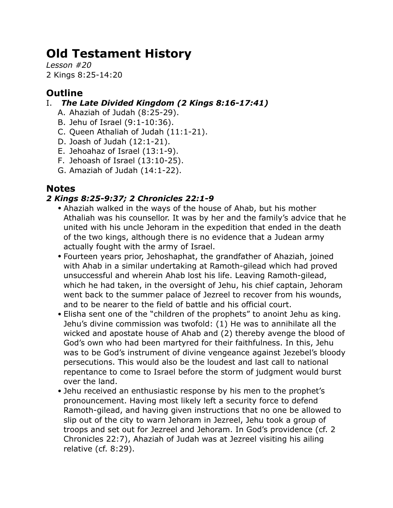# **Old Testament History**

*Lesson #20* 2 Kings 8:25-14:20

# **Outline**

# I. *The Late Divided Kingdom (2 Kings 8:16-17:41)*

- A. Ahaziah of Judah (8:25-29).
- B. Jehu of Israel (9:1-10:36).
- C. Queen Athaliah of Judah (11:1-21).
- D. Joash of Judah (12:1-21).
- E. Jehoahaz of Israel (13:1-9).
- F. Jehoash of Israel (13:10-25).
- G. Amaziah of Judah (14:1-22).

# **Notes**

# *2 Kings 8:25-9:37; 2 Chronicles 22:1-9*

- Ahaziah walked in the ways of the house of Ahab, but his mother Athaliah was his counsellor. It was by her and the family's advice that he united with his uncle Jehoram in the expedition that ended in the death of the two kings, although there is no evidence that a Judean army actually fought with the army of Israel.
- Fourteen years prior, Jehoshaphat, the grandfather of Ahaziah, joined with Ahab in a similar undertaking at Ramoth-gilead which had proved unsuccessful and wherein Ahab lost his life. Leaving Ramoth-gilead, which he had taken, in the oversight of Jehu, his chief captain, Jehoram went back to the summer palace of Jezreel to recover from his wounds, and to be nearer to the field of battle and his official court.
- Elisha sent one of the "children of the prophets" to anoint Jehu as king. Jehu's divine commission was twofold: (1) He was to annihilate all the wicked and apostate house of Ahab and (2) thereby avenge the blood of God's own who had been martyred for their faithfulness. In this, Jehu was to be God's instrument of divine vengeance against Jezebel's bloody persecutions. This would also be the loudest and last call to national repentance to come to Israel before the storm of judgment would burst over the land.
- Jehu received an enthusiastic response by his men to the prophet's pronouncement. Having most likely left a security force to defend Ramoth-gilead, and having given instructions that no one be allowed to slip out of the city to warn Jehoram in Jezreel, Jehu took a group of troops and set out for Jezreel and Jehoram. In God's providence (cf. 2 Chronicles 22:7), Ahaziah of Judah was at Jezreel visiting his ailing relative (cf. 8:29).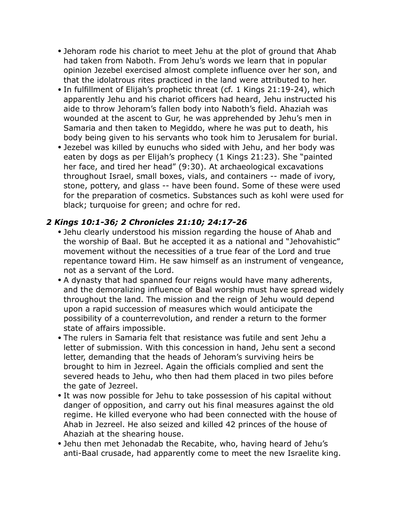- Jehoram rode his chariot to meet Jehu at the plot of ground that Ahab had taken from Naboth. From Jehu's words we learn that in popular opinion Jezebel exercised almost complete influence over her son, and that the idolatrous rites practiced in the land were attributed to her.
- In fulfillment of Elijah's prophetic threat (cf. 1 Kings 21:19-24), which apparently Jehu and his chariot officers had heard, Jehu instructed his aide to throw Jehoram's fallen body into Naboth's field. Ahaziah was wounded at the ascent to Gur, he was apprehended by Jehu's men in Samaria and then taken to Megiddo, where he was put to death, his body being given to his servants who took him to Jerusalem for burial.
- Jezebel was killed by eunuchs who sided with Jehu, and her body was eaten by dogs as per Elijah's prophecy (1 Kings 21:23). She "painted her face, and tired her head" (9:30). At archaeological excavations throughout Israel, small boxes, vials, and containers -- made of ivory, stone, pottery, and glass -- have been found. Some of these were used for the preparation of cosmetics. Substances such as kohl were used for black; turquoise for green; and ochre for red.

## *2 Kings 10:1-36; 2 Chronicles 21:10; 24:17-26*

- Jehu clearly understood his mission regarding the house of Ahab and the worship of Baal. But he accepted it as a national and "Jehovahistic" movement without the necessities of a true fear of the Lord and true repentance toward Him. He saw himself as an instrument of vengeance, not as a servant of the Lord.
- A dynasty that had spanned four reigns would have many adherents, and the demoralizing influence of Baal worship must have spread widely throughout the land. The mission and the reign of Jehu would depend upon a rapid succession of measures which would anticipate the possibility of a counterrevolution, and render a return to the former state of affairs impossible.
- The rulers in Samaria felt that resistance was futile and sent Jehu a letter of submission. With this concession in hand, Jehu sent a second letter, demanding that the heads of Jehoram's surviving heirs be brought to him in Jezreel. Again the officials complied and sent the severed heads to Jehu, who then had them placed in two piles before the gate of Jezreel.
- It was now possible for Jehu to take possession of his capital without danger of opposition, and carry out his final measures against the old regime. He killed everyone who had been connected with the house of Ahab in Jezreel. He also seized and killed 42 princes of the house of Ahaziah at the shearing house.
- Jehu then met Jehonadab the Recabite, who, having heard of Jehu's anti-Baal crusade, had apparently come to meet the new Israelite king.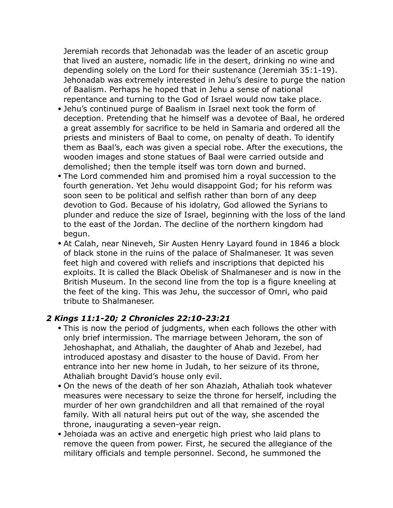Jeremiah records that Jehonadab was the leader of an ascetic group that lived an austere, nomadic life in the desert, drinking no wine and depending solely on the Lord for their sustenance (Jeremiah 35:1-19). Jehonadab was extremely interested in Jehu's desire to purge the nation of Baalism. Perhaps he hoped that in Jehu a sense of national repentance and turning to the God of Israel would now take place.

- Jehu's continued purge of Baalism in Israel next took the form of deception. Pretending that he himself was a devotee of Baal, he ordered a great assembly for sacrifice to be held in Samaria and ordered all the priests and ministers of Baal to come, on penalty of death. To identify them as Baal's, each was given a special robe. After the executions, the wooden images and stone statues of Baal were carried outside and demolished; then the temple itself was torn down and burned.
- The Lord commended him and promised him a royal succession to the fourth generation. Yet Jehu would disappoint God; for his reform was soon seen to be political and selfish rather than born of any deep devotion to God. Because of his idolatry, God allowed the Syrians to plunder and reduce the size of Israel, beginning with the loss of the land to the east of the Jordan. The decline of the northern kingdom had begun.
- At Calah, near Nineveh, Sir Austen Henry Layard found in 1846 a block of black stone in the ruins of the palace of Shalmaneser. It was seven feet high and covered with reliefs and inscriptions that depicted his exploits. It is called the Black Obelisk of Shalmaneser and is now in the British Museum. In the second line from the top is a figure kneeling at the feet of the king. This was Jehu, the successor of Omri, who paid tribute to Shalmaneser.

### *2 Kings 11:1-20; 2 Chronicles 22:10-23:21*

- This is now the period of judgments, when each follows the other with only brief intermission. The marriage between Jehoram, the son of Jehoshaphat, and Athaliah, the daughter of Ahab and Jezebel, had introduced apostasy and disaster to the house of David. From her entrance into her new home in Judah, to her seizure of its throne, Athaliah brought David's house only evil.
- On the news of the death of her son Ahaziah, Athaliah took whatever measures were necessary to seize the throne for herself, including the murder of her own grandchildren and all that remained of the royal family. With all natural heirs put out of the way, she ascended the throne, inaugurating a seven-year reign.
- Jehoiada was an active and energetic high priest who laid plans to remove the queen from power. First, he secured the allegiance of the military officials and temple personnel. Second, he summoned the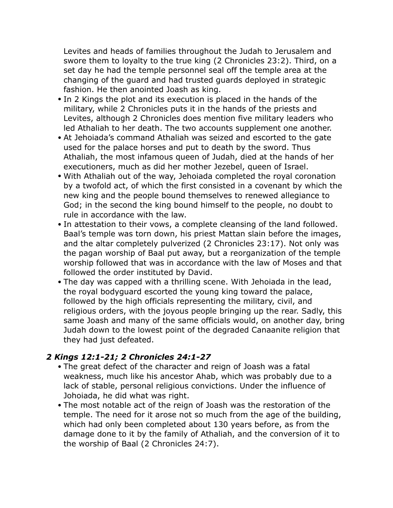Levites and heads of families throughout the Judah to Jerusalem and swore them to loyalty to the true king (2 Chronicles 23:2). Third, on a set day he had the temple personnel seal off the temple area at the changing of the guard and had trusted guards deployed in strategic fashion. He then anointed Joash as king.

- In 2 Kings the plot and its execution is placed in the hands of the military, while 2 Chronicles puts it in the hands of the priests and Levites, although 2 Chronicles does mention five military leaders who led Athaliah to her death. The two accounts supplement one another.
- At Jehoiada's command Athaliah was seized and escorted to the gate used for the palace horses and put to death by the sword. Thus Athaliah, the most infamous queen of Judah, died at the hands of her executioners, much as did her mother Jezebel, queen of Israel.
- With Athaliah out of the way, Jehoiada completed the royal coronation by a twofold act, of which the first consisted in a covenant by which the new king and the people bound themselves to renewed allegiance to God; in the second the king bound himself to the people, no doubt to rule in accordance with the law.
- In attestation to their vows, a complete cleansing of the land followed. Baal's temple was torn down, his priest Mattan slain before the images, and the altar completely pulverized (2 Chronicles 23:17). Not only was the pagan worship of Baal put away, but a reorganization of the temple worship followed that was in accordance with the law of Moses and that followed the order instituted by David.
- The day was capped with a thrilling scene. With Jehoiada in the lead, the royal bodyguard escorted the young king toward the palace, followed by the high officials representing the military, civil, and religious orders, with the joyous people bringing up the rear. Sadly, this same Joash and many of the same officials would, on another day, bring Judah down to the lowest point of the degraded Canaanite religion that they had just defeated.

### *2 Kings 12:1-21; 2 Chronicles 24:1-27*

- The great defect of the character and reign of Joash was a fatal weakness, much like his ancestor Ahab, which was probably due to a lack of stable, personal religious convictions. Under the influence of Johoiada, he did what was right.
- The most notable act of the reign of Joash was the restoration of the temple. The need for it arose not so much from the age of the building, which had only been completed about 130 years before, as from the damage done to it by the family of Athaliah, and the conversion of it to the worship of Baal (2 Chronicles 24:7).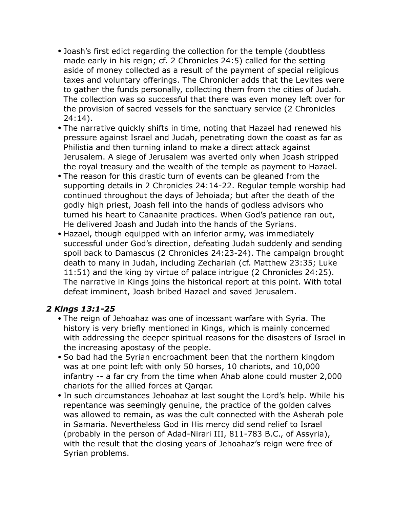- Joash's first edict regarding the collection for the temple (doubtless made early in his reign; cf. 2 Chronicles 24:5) called for the setting aside of money collected as a result of the payment of special religious taxes and voluntary offerings. The Chronicler adds that the Levites were to gather the funds personally, collecting them from the cities of Judah. The collection was so successful that there was even money left over for the provision of sacred vessels for the sanctuary service (2 Chronicles 24:14).
- The narrative quickly shifts in time, noting that Hazael had renewed his pressure against Israel and Judah, penetrating down the coast as far as Philistia and then turning inland to make a direct attack against Jerusalem. A siege of Jerusalem was averted only when Joash stripped the royal treasury and the wealth of the temple as payment to Hazael.
- The reason for this drastic turn of events can be gleaned from the supporting details in 2 Chronicles 24:14-22. Regular temple worship had continued throughout the days of Jehoiada; but after the death of the godly high priest, Joash fell into the hands of godless advisors who turned his heart to Canaanite practices. When God's patience ran out, He delivered Joash and Judah into the hands of the Syrians.
- Hazael, though equipped with an inferior army, was immediately successful under God's direction, defeating Judah suddenly and sending spoil back to Damascus (2 Chronicles 24:23-24). The campaign brought death to many in Judah, including Zechariah (cf. Matthew 23:35; Luke 11:51) and the king by virtue of palace intrigue (2 Chronicles 24:25). The narrative in Kings joins the historical report at this point. With total defeat imminent, Joash bribed Hazael and saved Jerusalem.

### *2 Kings 13:1-25*

- The reign of Jehoahaz was one of incessant warfare with Syria. The history is very briefly mentioned in Kings, which is mainly concerned with addressing the deeper spiritual reasons for the disasters of Israel in the increasing apostasy of the people.
- So bad had the Syrian encroachment been that the northern kingdom was at one point left with only 50 horses, 10 chariots, and 10,000 infantry -- a far cry from the time when Ahab alone could muster 2,000 chariots for the allied forces at Qarqar.
- In such circumstances Jehoahaz at last sought the Lord's help. While his repentance was seemingly genuine, the practice of the golden calves was allowed to remain, as was the cult connected with the Asherah pole in Samaria. Nevertheless God in His mercy did send relief to Israel (probably in the person of Adad-Nirari III, 811-783 B.C., of Assyria), with the result that the closing years of Jehoahaz's reign were free of Syrian problems.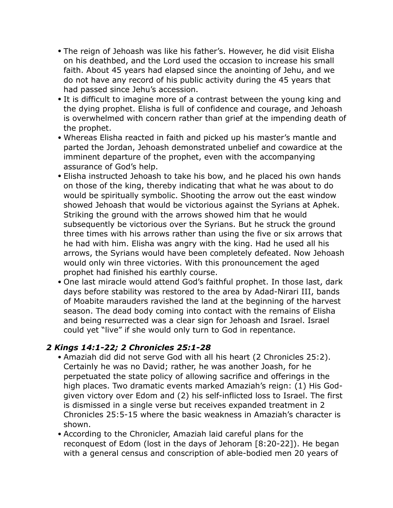- The reign of Jehoash was like his father's. However, he did visit Elisha on his deathbed, and the Lord used the occasion to increase his small faith. About 45 years had elapsed since the anointing of Jehu, and we do not have any record of his public activity during the 45 years that had passed since Jehu's accession.
- It is difficult to imagine more of a contrast between the young king and the dying prophet. Elisha is full of confidence and courage, and Jehoash is overwhelmed with concern rather than grief at the impending death of the prophet.
- Whereas Elisha reacted in faith and picked up his master's mantle and parted the Jordan, Jehoash demonstrated unbelief and cowardice at the imminent departure of the prophet, even with the accompanying assurance of God's help.
- Elisha instructed Jehoash to take his bow, and he placed his own hands on those of the king, thereby indicating that what he was about to do would be spiritually symbolic. Shooting the arrow out the east window showed Jehoash that would be victorious against the Syrians at Aphek. Striking the ground with the arrows showed him that he would subsequently be victorious over the Syrians. But he struck the ground three times with his arrows rather than using the five or six arrows that he had with him. Elisha was angry with the king. Had he used all his arrows, the Syrians would have been completely defeated. Now Jehoash would only win three victories. With this pronouncement the aged prophet had finished his earthly course.
- One last miracle would attend God's faithful prophet. In those last, dark days before stability was restored to the area by Adad-Nirari III, bands of Moabite marauders ravished the land at the beginning of the harvest season. The dead body coming into contact with the remains of Elisha and being resurrected was a clear sign for Jehoash and Israel. Israel could yet "live" if she would only turn to God in repentance.

### *2 Kings 14:1-22; 2 Chronicles 25:1-28*

- Amaziah did did not serve God with all his heart (2 Chronicles 25:2). Certainly he was no David; rather, he was another Joash, for he perpetuated the state policy of allowing sacrifice and offerings in the high places. Two dramatic events marked Amaziah's reign: (1) His Godgiven victory over Edom and (2) his self-inflicted loss to Israel. The first is dismissed in a single verse but receives expanded treatment in 2 Chronicles 25:5-15 where the basic weakness in Amaziah's character is shown.
- According to the Chronicler, Amaziah laid careful plans for the reconquest of Edom (lost in the days of Jehoram [8:20-22]). He began with a general census and conscription of able-bodied men 20 years of